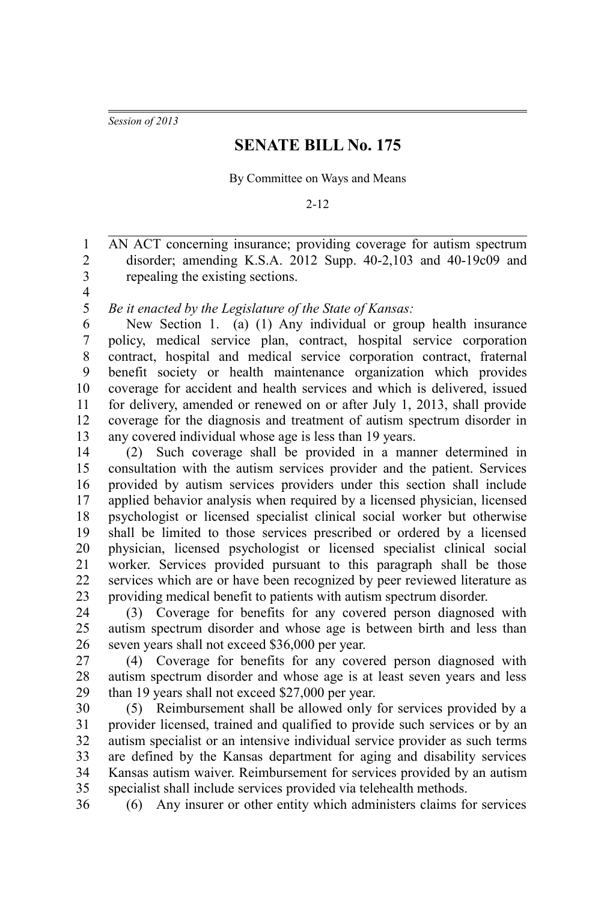*Session of 2013*

## **SENATE BILL No. 175**

By Committee on Ways and Means

2-12

AN ACT concerning insurance; providing coverage for autism spectrum disorder; amending K.S.A. 2012 Supp. 40-2,103 and 40-19c09 and repealing the existing sections. 1 2 3

4

*Be it enacted by the Legislature of the State of Kansas:* 5

New Section 1. (a) (1) Any individual or group health insurance policy, medical service plan, contract, hospital service corporation contract, hospital and medical service corporation contract, fraternal benefit society or health maintenance organization which provides coverage for accident and health services and which is delivered, issued for delivery, amended or renewed on or after July 1, 2013, shall provide coverage for the diagnosis and treatment of autism spectrum disorder in any covered individual whose age is less than 19 years. 6 7 8 9 10 11 12 13

(2) Such coverage shall be provided in a manner determined in consultation with the autism services provider and the patient. Services provided by autism services providers under this section shall include applied behavior analysis when required by a licensed physician, licensed psychologist or licensed specialist clinical social worker but otherwise shall be limited to those services prescribed or ordered by a licensed physician, licensed psychologist or licensed specialist clinical social worker. Services provided pursuant to this paragraph shall be those services which are or have been recognized by peer reviewed literature as providing medical benefit to patients with autism spectrum disorder. 14 15 16 17 18 19 20 21 22 23

(3) Coverage for benefits for any covered person diagnosed with autism spectrum disorder and whose age is between birth and less than seven years shall not exceed \$36,000 per year. 24 25 26

(4) Coverage for benefits for any covered person diagnosed with autism spectrum disorder and whose age is at least seven years and less than 19 years shall not exceed \$27,000 per year. 27 28 29

(5) Reimbursement shall be allowed only for services provided by a provider licensed, trained and qualified to provide such services or by an autism specialist or an intensive individual service provider as such terms are defined by the Kansas department for aging and disability services Kansas autism waiver. Reimbursement for services provided by an autism specialist shall include services provided via telehealth methods. 30 31 32 33 34 35

36

(6) Any insurer or other entity which administers claims for services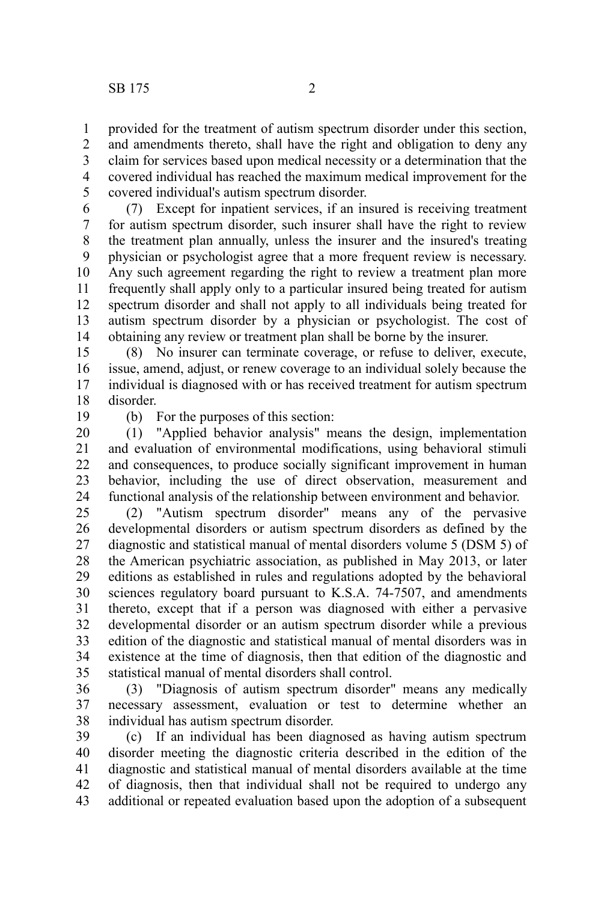provided for the treatment of autism spectrum disorder under this section, and amendments thereto, shall have the right and obligation to deny any claim for services based upon medical necessity or a determination that the covered individual has reached the maximum medical improvement for the covered individual's autism spectrum disorder. 1 2 3 4 5

(7) Except for inpatient services, if an insured is receiving treatment for autism spectrum disorder, such insurer shall have the right to review the treatment plan annually, unless the insurer and the insured's treating physician or psychologist agree that a more frequent review is necessary. Any such agreement regarding the right to review a treatment plan more frequently shall apply only to a particular insured being treated for autism spectrum disorder and shall not apply to all individuals being treated for autism spectrum disorder by a physician or psychologist. The cost of obtaining any review or treatment plan shall be borne by the insurer. 6 7 8 9 10 11 12 13 14

(8) No insurer can terminate coverage, or refuse to deliver, execute, issue, amend, adjust, or renew coverage to an individual solely because the individual is diagnosed with or has received treatment for autism spectrum disorder. 15 16 17 18

19

(b) For the purposes of this section:

(1) "Applied behavior analysis" means the design, implementation and evaluation of environmental modifications, using behavioral stimuli and consequences, to produce socially significant improvement in human behavior, including the use of direct observation, measurement and functional analysis of the relationship between environment and behavior. 20 21 22 23 24

(2) "Autism spectrum disorder" means any of the pervasive developmental disorders or autism spectrum disorders as defined by the diagnostic and statistical manual of mental disorders volume 5 (DSM 5) of the American psychiatric association, as published in May 2013, or later editions as established in rules and regulations adopted by the behavioral sciences regulatory board pursuant to K.S.A. 74-7507, and amendments thereto, except that if a person was diagnosed with either a pervasive developmental disorder or an autism spectrum disorder while a previous edition of the diagnostic and statistical manual of mental disorders was in existence at the time of diagnosis, then that edition of the diagnostic and statistical manual of mental disorders shall control. 25 26 27 28 29 30 31 32 33 34 35

(3) "Diagnosis of autism spectrum disorder" means any medically necessary assessment, evaluation or test to determine whether an individual has autism spectrum disorder. 36 37 38

(c) If an individual has been diagnosed as having autism spectrum disorder meeting the diagnostic criteria described in the edition of the diagnostic and statistical manual of mental disorders available at the time of diagnosis, then that individual shall not be required to undergo any additional or repeated evaluation based upon the adoption of a subsequent 39 40 41 42 43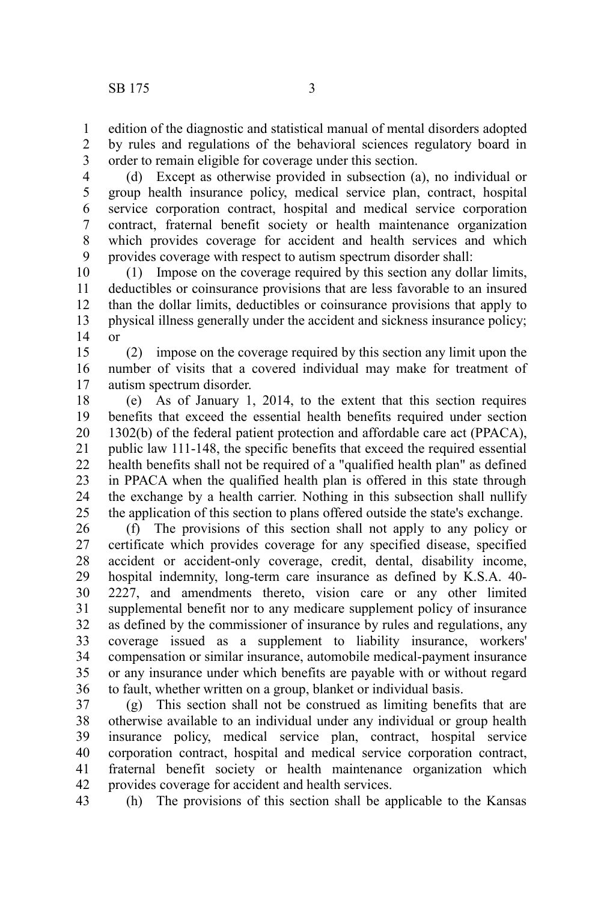edition of the diagnostic and statistical manual of mental disorders adopted by rules and regulations of the behavioral sciences regulatory board in order to remain eligible for coverage under this section. 1 2 3

(d) Except as otherwise provided in subsection (a), no individual or group health insurance policy, medical service plan, contract, hospital service corporation contract, hospital and medical service corporation contract, fraternal benefit society or health maintenance organization which provides coverage for accident and health services and which provides coverage with respect to autism spectrum disorder shall: 4 5 6 7 8 9

(1) Impose on the coverage required by this section any dollar limits, deductibles or coinsurance provisions that are less favorable to an insured than the dollar limits, deductibles or coinsurance provisions that apply to physical illness generally under the accident and sickness insurance policy; or 10 11 12 13 14

(2) impose on the coverage required by this section any limit upon the number of visits that a covered individual may make for treatment of autism spectrum disorder. 15 16 17

(e) As of January 1, 2014, to the extent that this section requires benefits that exceed the essential health benefits required under section 1302(b) of the federal patient protection and affordable care act (PPACA), public law 111-148, the specific benefits that exceed the required essential health benefits shall not be required of a "qualified health plan" as defined in PPACA when the qualified health plan is offered in this state through the exchange by a health carrier. Nothing in this subsection shall nullify the application of this section to plans offered outside the state's exchange. 18 19 20 21 22 23 24 25

(f) The provisions of this section shall not apply to any policy or certificate which provides coverage for any specified disease, specified accident or accident-only coverage, credit, dental, disability income, hospital indemnity, long-term care insurance as defined by K.S.A. 40- 2227, and amendments thereto, vision care or any other limited supplemental benefit nor to any medicare supplement policy of insurance as defined by the commissioner of insurance by rules and regulations, any coverage issued as a supplement to liability insurance, workers' compensation or similar insurance, automobile medical-payment insurance or any insurance under which benefits are payable with or without regard to fault, whether written on a group, blanket or individual basis. 26 27 28 29 30 31 32 33 34 35 36

(g) This section shall not be construed as limiting benefits that are otherwise available to an individual under any individual or group health insurance policy, medical service plan, contract, hospital service corporation contract, hospital and medical service corporation contract, fraternal benefit society or health maintenance organization which provides coverage for accident and health services. 37 38 39 40 41 42

(h) The provisions of this section shall be applicable to the Kansas 43